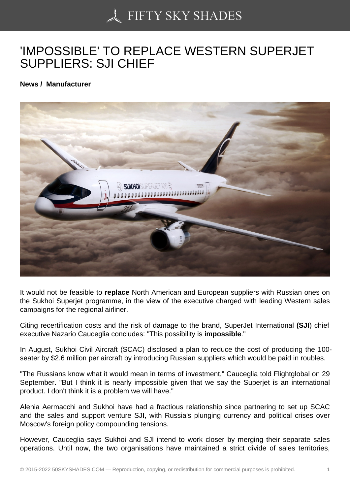## ['IMPOSSIBLE' TO REP](https://50skyshades.com)LACE WESTERN SUPERJET SUPPLIERS: SJI CHIEF

News / Manufacturer

It would not be feasible to replace North American and European suppliers with Russian ones on the Sukhoi Superjet programme, in the view of the executive charged with leading Western sales campaigns for the regional airliner.

Citing recertification costs and the risk of damage to the brand, SuperJet International (SJI) chief executive Nazario Cauceglia concludes: "This possibility is impossible ."

In August, Sukhoi Civil Aircraft (SCAC) disclosed a plan to reduce the cost of producing the 100 seater by \$2.6 million per aircraft by introducing Russian suppliers which would be paid in roubles.

"The Russians know what it would mean in terms of investment," Cauceglia told Flightglobal on 29 September. "But I think it is nearly impossible given that we say the Superjet is an international product. I don't think it is a problem we will have."

Alenia Aermacchi and Sukhoi have had a fractious relationship since partnering to set up SCAC and the sales and support venture SJI, with Russia's plunging currency and political crises over Moscow's foreign policy compounding tensions.

However, Cauceglia says Sukhoi and SJl intend to work closer by merging their separate sales operations. Until now, the two organisations have maintained a strict divide of sales territories,